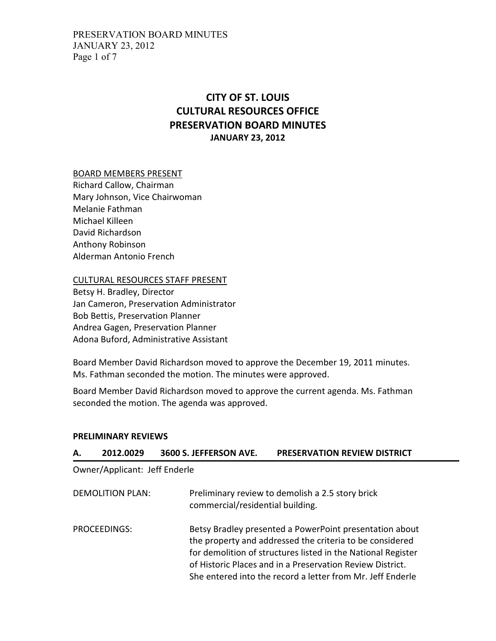## CITY OF ST. LOUIS CULTURAL RESOURCES OFFICE PRESERVATION BOARD MINUTES JANUARY 23, 2012

#### BOARD MEMBERS PRESENT

Richard Callow, Chairman Mary Johnson, Vice Chairwoman Melanie Fathman Michael Killeen David Richardson Anthony Robinson Alderman Antonio French

CULTURAL RESOURCES STAFF PRESENT

Betsy H. Bradley, Director Jan Cameron, Preservation Administrator Bob Bettis, Preservation Planner Andrea Gagen, Preservation Planner Adona Buford, Administrative Assistant

Board Member David Richardson moved to approve the December 19, 2011 minutes. Ms. Fathman seconded the motion. The minutes were approved.

Board Member David Richardson moved to approve the current agenda. Ms. Fathman seconded the motion. The agenda was approved.

#### PRELIMINARY REVIEWS

| А.               | 2012.0029                     | 3600 S. JEFFERSON AVE. | <b>PRESERVATION REVIEW DISTRICT</b>                                                                                                                                                                                                                                                                            |  |
|------------------|-------------------------------|------------------------|----------------------------------------------------------------------------------------------------------------------------------------------------------------------------------------------------------------------------------------------------------------------------------------------------------------|--|
|                  | Owner/Applicant: Jeff Enderle |                        |                                                                                                                                                                                                                                                                                                                |  |
| DEMOLITION PLAN: |                               |                        | Preliminary review to demolish a 2.5 story brick<br>commercial/residential building.                                                                                                                                                                                                                           |  |
|                  | PROCEEDINGS:                  |                        | Betsy Bradley presented a PowerPoint presentation about<br>the property and addressed the criteria to be considered<br>for demolition of structures listed in the National Register<br>of Historic Places and in a Preservation Review District.<br>She entered into the record a letter from Mr. Jeff Enderle |  |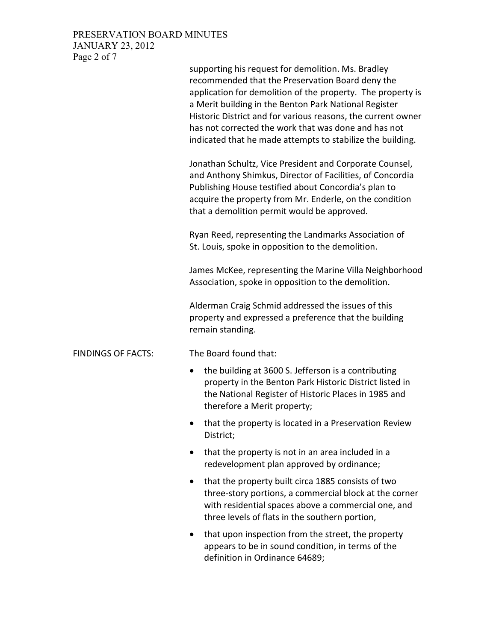### PRESERVATION BOARD MINUTES JANUARY 23, 2012 Page 2 of 7

|                           | supporting his request for demolition. Ms. Bradley<br>recommended that the Preservation Board deny the<br>application for demolition of the property. The property is<br>a Merit building in the Benton Park National Register<br>Historic District and for various reasons, the current owner<br>has not corrected the work that was done and has not<br>indicated that he made attempts to stabilize the building. |
|---------------------------|----------------------------------------------------------------------------------------------------------------------------------------------------------------------------------------------------------------------------------------------------------------------------------------------------------------------------------------------------------------------------------------------------------------------|
|                           | Jonathan Schultz, Vice President and Corporate Counsel,<br>and Anthony Shimkus, Director of Facilities, of Concordia<br>Publishing House testified about Concordia's plan to<br>acquire the property from Mr. Enderle, on the condition<br>that a demolition permit would be approved.                                                                                                                               |
|                           | Ryan Reed, representing the Landmarks Association of<br>St. Louis, spoke in opposition to the demolition.                                                                                                                                                                                                                                                                                                            |
|                           | James McKee, representing the Marine Villa Neighborhood<br>Association, spoke in opposition to the demolition.                                                                                                                                                                                                                                                                                                       |
|                           | Alderman Craig Schmid addressed the issues of this<br>property and expressed a preference that the building<br>remain standing.                                                                                                                                                                                                                                                                                      |
| <b>FINDINGS OF FACTS:</b> | The Board found that:                                                                                                                                                                                                                                                                                                                                                                                                |
|                           | the building at 3600 S. Jefferson is a contributing<br>$\bullet$<br>property in the Benton Park Historic District listed in<br>the National Register of Historic Places in 1985 and<br>therefore a Merit property;                                                                                                                                                                                                   |
|                           | that the property is located in a Preservation Review<br>District;                                                                                                                                                                                                                                                                                                                                                   |
|                           | that the property is not in an area included in a<br>$\bullet$<br>redevelopment plan approved by ordinance;                                                                                                                                                                                                                                                                                                          |
|                           | that the property built circa 1885 consists of two<br>$\bullet$<br>three-story portions, a commercial block at the corner<br>with residential spaces above a commercial one, and<br>three levels of flats in the southern portion,                                                                                                                                                                                   |
|                           | that upon inspection from the street, the property<br>appears to be in sound condition, in terms of the<br>definition in Ordinance 64689;                                                                                                                                                                                                                                                                            |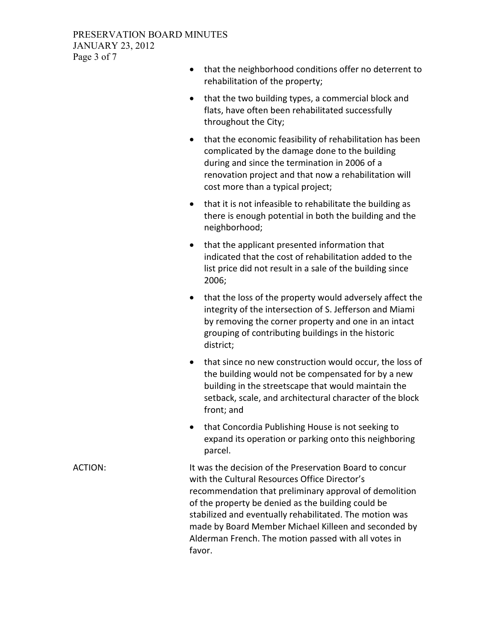#### PRESERVATION BOARD MINUTES JANUARY 23, 2012 Page 3 of 7

- that the neighborhood conditions offer no deterrent to rehabilitation of the property;
- that the two building types, a commercial block and flats, have often been rehabilitated successfully throughout the City;
- that the economic feasibility of rehabilitation has been complicated by the damage done to the building during and since the termination in 2006 of a renovation project and that now a rehabilitation will cost more than a typical project;
- that it is not infeasible to rehabilitate the building as there is enough potential in both the building and the neighborhood;
- that the applicant presented information that indicated that the cost of rehabilitation added to the list price did not result in a sale of the building since 2006;
- that the loss of the property would adversely affect the integrity of the intersection of S. Jefferson and Miami by removing the corner property and one in an intact grouping of contributing buildings in the historic district;
- that since no new construction would occur, the loss of the building would not be compensated for by a new building in the streetscape that would maintain the setback, scale, and architectural character of the block front; and
- that Concordia Publishing House is not seeking to expand its operation or parking onto this neighboring parcel.

ACTION: It was the decision of the Preservation Board to concur with the Cultural Resources Office Director's recommendation that preliminary approval of demolition of the property be denied as the building could be stabilized and eventually rehabilitated. The motion was made by Board Member Michael Killeen and seconded by Alderman French. The motion passed with all votes in favor.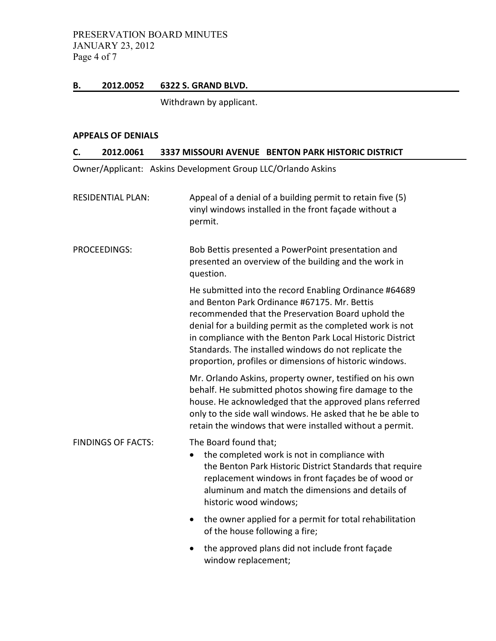PRESERVATION BOARD MINUTES JANUARY 23, 2012 Page 4 of 7

#### B. 2012.0052 6322 S. GRAND BLVD.

Withdrawn by applicant.

#### APPEALS OF DENIALS

| 2012.0061<br>C.           | 3337 MISSOURI AVENUE BENTON PARK HISTORIC DISTRICT                                                                                                                                                                                                                                                                                                                                                          |
|---------------------------|-------------------------------------------------------------------------------------------------------------------------------------------------------------------------------------------------------------------------------------------------------------------------------------------------------------------------------------------------------------------------------------------------------------|
|                           | Owner/Applicant: Askins Development Group LLC/Orlando Askins                                                                                                                                                                                                                                                                                                                                                |
| <b>RESIDENTIAL PLAN:</b>  | Appeal of a denial of a building permit to retain five (5)<br>vinyl windows installed in the front façade without a<br>permit.                                                                                                                                                                                                                                                                              |
| PROCEEDINGS:              | Bob Bettis presented a PowerPoint presentation and<br>presented an overview of the building and the work in<br>question.                                                                                                                                                                                                                                                                                    |
|                           | He submitted into the record Enabling Ordinance #64689<br>and Benton Park Ordinance #67175. Mr. Bettis<br>recommended that the Preservation Board uphold the<br>denial for a building permit as the completed work is not<br>in compliance with the Benton Park Local Historic District<br>Standards. The installed windows do not replicate the<br>proportion, profiles or dimensions of historic windows. |
|                           | Mr. Orlando Askins, property owner, testified on his own<br>behalf. He submitted photos showing fire damage to the<br>house. He acknowledged that the approved plans referred<br>only to the side wall windows. He asked that he be able to<br>retain the windows that were installed without a permit.                                                                                                     |
| <b>FINDINGS OF FACTS:</b> | The Board found that;<br>the completed work is not in compliance with<br>the Benton Park Historic District Standards that require<br>replacement windows in front façades be of wood or<br>aluminum and match the dimensions and details of<br>historic wood windows;                                                                                                                                       |
|                           | the owner applied for a permit for total rehabilitation<br>$\bullet$<br>of the house following a fire;                                                                                                                                                                                                                                                                                                      |
|                           | the approved plans did not include front façade<br>window replacement;                                                                                                                                                                                                                                                                                                                                      |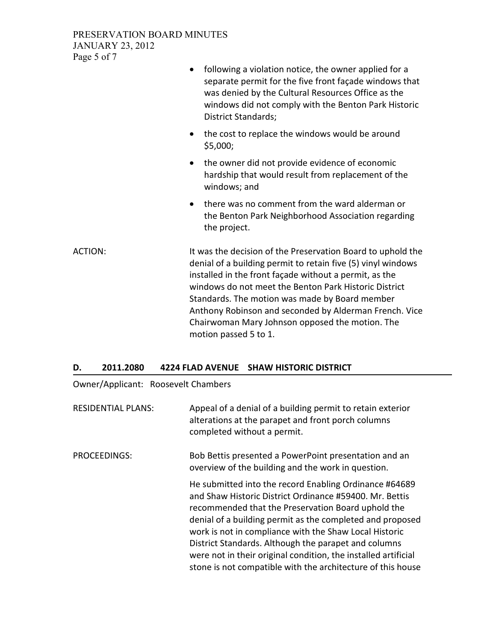#### PRESERVATION BOARD MINUTES JANUARY 23, 2012 Page 5 of 7

|                | following a violation notice, the owner applied for a<br>$\bullet$<br>separate permit for the five front façade windows that<br>was denied by the Cultural Resources Office as the<br>windows did not comply with the Benton Park Historic<br>District Standards;                                                                                                                                                                      |  |
|----------------|----------------------------------------------------------------------------------------------------------------------------------------------------------------------------------------------------------------------------------------------------------------------------------------------------------------------------------------------------------------------------------------------------------------------------------------|--|
|                | the cost to replace the windows would be around<br>$\bullet$<br>\$5,000;                                                                                                                                                                                                                                                                                                                                                               |  |
|                | the owner did not provide evidence of economic<br>$\bullet$<br>hardship that would result from replacement of the<br>windows; and                                                                                                                                                                                                                                                                                                      |  |
|                | there was no comment from the ward alderman or<br>$\bullet$<br>the Benton Park Neighborhood Association regarding<br>the project.                                                                                                                                                                                                                                                                                                      |  |
| <b>ACTION:</b> | It was the decision of the Preservation Board to uphold the<br>denial of a building permit to retain five (5) vinyl windows<br>installed in the front façade without a permit, as the<br>windows do not meet the Benton Park Historic District<br>Standards. The motion was made by Board member<br>Anthony Robinson and seconded by Alderman French. Vice<br>Chairwoman Mary Johnson opposed the motion. The<br>motion passed 5 to 1. |  |

#### D. 2011.2080 4224 FLAD AVENUE SHAW HISTORIC DISTRICT

Owner/Applicant: Roosevelt Chambers

RESIDENTIAL PLANS: Appeal of a denial of a building permit to retain exterior alterations at the parapet and front porch columns completed without a permit.

PROCEEDINGS: Bob Bettis presented a PowerPoint presentation and an overview of the building and the work in question.

> He submitted into the record Enabling Ordinance #64689 and Shaw Historic District Ordinance #59400. Mr. Bettis recommended that the Preservation Board uphold the denial of a building permit as the completed and proposed work is not in compliance with the Shaw Local Historic District Standards. Although the parapet and columns were not in their original condition, the installed artificial stone is not compatible with the architecture of this house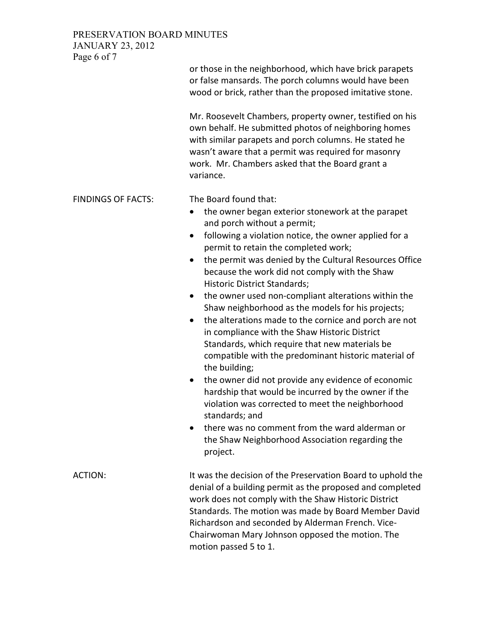PRESERVATION BOARD MINUTES JANUARY 23, 2012

Page 6 of 7 or those in the neighborhood, which have brick parapets or false mansards. The porch columns would have been wood or brick, rather than the proposed imitative stone. Mr. Roosevelt Chambers, property owner, testified on his own behalf. He submitted photos of neighboring homes with similar parapets and porch columns. He stated he wasn't aware that a permit was required for masonry work. Mr. Chambers asked that the Board grant a variance. FINDINGS OF FACTS: The Board found that: • the owner began exterior stonework at the parapet and porch without a permit; • following a violation notice, the owner applied for a permit to retain the completed work; • the permit was denied by the Cultural Resources Office because the work did not comply with the Shaw Historic District Standards; • the owner used non-compliant alterations within the Shaw neighborhood as the models for his projects; • the alterations made to the cornice and porch are not in compliance with the Shaw Historic District Standards, which require that new materials be compatible with the predominant historic material of the building; • the owner did not provide any evidence of economic hardship that would be incurred by the owner if the violation was corrected to meet the neighborhood standards; and • there was no comment from the ward alderman or the Shaw Neighborhood Association regarding the project. ACTION: It was the decision of the Preservation Board to uphold the denial of a building permit as the proposed and completed work does not comply with the Shaw Historic District Standards. The motion was made by Board Member David Richardson and seconded by Alderman French. Vice-Chairwoman Mary Johnson opposed the motion. The motion passed 5 to 1.